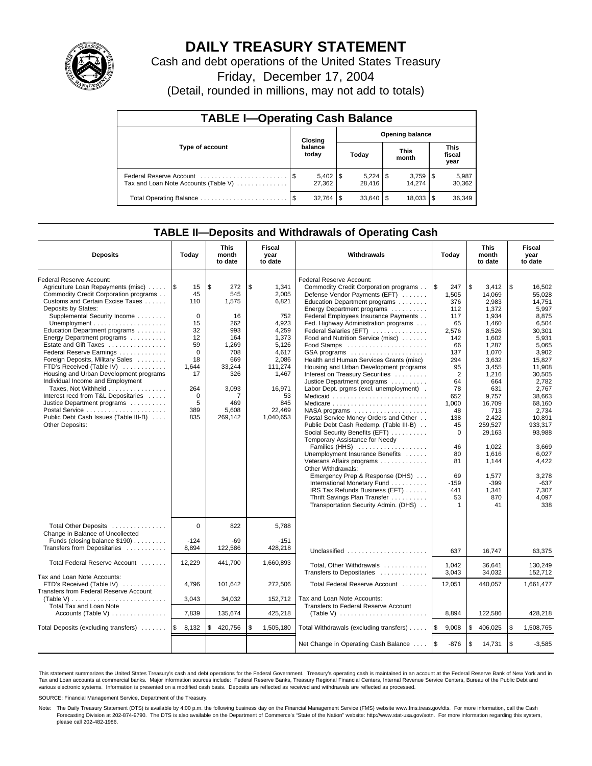

# **DAILY TREASURY STATEMENT**

Cash and debt operations of the United States Treasury

Friday, December 17, 2004

(Detail, rounded in millions, may not add to totals)

| <b>TABLE I-Operating Cash Balance</b> |      |                        |                        |           |  |                      |                               |                 |  |  |
|---------------------------------------|------|------------------------|------------------------|-----------|--|----------------------|-------------------------------|-----------------|--|--|
| Type of account                       |      | Closing                | <b>Opening balance</b> |           |  |                      |                               |                 |  |  |
|                                       |      | balance<br>today       |                        | Today     |  | <b>This</b><br>month | <b>This</b><br>fiscal<br>year |                 |  |  |
| Tax and Loan Note Accounts (Table V)  |      | $5,402$   \$<br>27.362 |                        | 28.416    |  | 14.274               |                               | 5,987<br>30,362 |  |  |
| Total Operating Balance               | - \$ | 32.764                 | \$                     | 33,640 \$ |  | 18,033               |                               | 36,349          |  |  |

## **TABLE II—Deposits and Withdrawals of Operating Cash**

| <b>Deposits</b>                                                                                                                                                                                                                                                                                                                                                                                                                                                                                                                                                                                                                                  | Today                                                                                                                                   | <b>This</b><br>month<br>to date                                                                                                               | Fiscal<br>year<br>to date                                                                                                                                    | Withdrawals                                                                                                                                                                                                                                                                                                                                                                                                                                                                                                                                                                                                                                                                                                                                                                                                                                                                                                                                                                                                               | Today                                                                                                                                                                                                                                       | <b>This</b><br>month<br>to date |                                                                                                                                                                                                                                                              | Fiscal<br>year<br>to date                                                                                                                                                                                                                                                           |
|--------------------------------------------------------------------------------------------------------------------------------------------------------------------------------------------------------------------------------------------------------------------------------------------------------------------------------------------------------------------------------------------------------------------------------------------------------------------------------------------------------------------------------------------------------------------------------------------------------------------------------------------------|-----------------------------------------------------------------------------------------------------------------------------------------|-----------------------------------------------------------------------------------------------------------------------------------------------|--------------------------------------------------------------------------------------------------------------------------------------------------------------|---------------------------------------------------------------------------------------------------------------------------------------------------------------------------------------------------------------------------------------------------------------------------------------------------------------------------------------------------------------------------------------------------------------------------------------------------------------------------------------------------------------------------------------------------------------------------------------------------------------------------------------------------------------------------------------------------------------------------------------------------------------------------------------------------------------------------------------------------------------------------------------------------------------------------------------------------------------------------------------------------------------------------|---------------------------------------------------------------------------------------------------------------------------------------------------------------------------------------------------------------------------------------------|---------------------------------|--------------------------------------------------------------------------------------------------------------------------------------------------------------------------------------------------------------------------------------------------------------|-------------------------------------------------------------------------------------------------------------------------------------------------------------------------------------------------------------------------------------------------------------------------------------|
| Federal Reserve Account:<br>Agriculture Loan Repayments (misc)<br>Commodity Credit Corporation programs<br>Customs and Certain Excise Taxes<br>Deposits by States:<br>Supplemental Security Income<br>Education Department programs<br>Energy Department programs<br>Estate and Gift Taxes<br>Federal Reserve Earnings<br>Foreign Deposits, Military Sales<br>FTD's Received (Table IV)<br>Housing and Urban Development programs<br>Individual Income and Employment<br>Taxes, Not Withheld<br>Interest recd from T&L Depositaries<br>Justice Department programs<br>Postal Service<br>Public Debt Cash Issues (Table III-B)<br>Other Deposits: | ا\$<br>15<br>45<br>110<br>$\mathbf 0$<br>15<br>32<br>12<br>59<br>$\Omega$<br>18<br>1,644<br>17<br>264<br>$\mathbf 0$<br>5<br>389<br>835 | $\sqrt{3}$<br>272<br>545<br>1,575<br>16<br>262<br>993<br>164<br>1.269<br>708<br>669<br>33,244<br>326<br>3,093<br>7<br>469<br>5,608<br>269,142 | \$<br>1,341<br>2.005<br>6,821<br>752<br>4,923<br>4,259<br>1,373<br>5,126<br>4,617<br>2,086<br>111,274<br>1,467<br>16,971<br>53<br>845<br>22,469<br>1,040,653 | Federal Reserve Account:<br>Commodity Credit Corporation programs<br>Defense Vendor Payments (EFT)<br>Education Department programs<br>Energy Department programs<br>Federal Employees Insurance Payments<br>Fed. Highway Administration programs<br>Federal Salaries (EFT)<br>Food and Nutrition Service (misc)<br>Food Stamps<br>GSA programs<br>Health and Human Services Grants (misc)<br>Housing and Urban Development programs<br>Interest on Treasury Securities<br>Justice Department programs<br>Labor Dept. prgms (excl. unemployment).<br>Medicaid<br>NASA programs<br>Postal Service Money Orders and Other<br>Public Debt Cash Redemp. (Table III-B)<br>Social Security Benefits (EFT)<br>Temporary Assistance for Needy<br>Families (HHS)<br>Unemployment Insurance Benefits<br>Veterans Affairs programs<br>Other Withdrawals:<br>Emergency Prep & Response (DHS)<br>International Monetary Fund<br>IRS Tax Refunds Business (EFT)<br>Thrift Savings Plan Transfer<br>Transportation Security Admin. (DHS) | $\sqrt{3}$<br>247<br>1,505<br>376<br>112<br>117<br>65<br>2,576<br>142<br>66<br>137<br>294<br>95<br>$\overline{2}$<br>64<br>78<br>652<br>1,000<br>48<br>138<br>45<br>$\Omega$<br>46<br>80<br>81<br>69<br>$-159$<br>441<br>53<br>$\mathbf{1}$ | \$                              | 3.412<br>14,069<br>2,983<br>1,372<br>1,934<br>1,460<br>8,526<br>1.602<br>1.287<br>1,070<br>3,632<br>3,455<br>1,216<br>664<br>631<br>9.757<br>16,709<br>713<br>2,422<br>259,527<br>29,163<br>1.022<br>1,616<br>1,144<br>1,577<br>$-399$<br>1,341<br>870<br>41 | \$<br>16.502<br>55.028<br>14.751<br>5,997<br>8,875<br>6,504<br>30.301<br>5.931<br>5.065<br>3,902<br>15,827<br>11,908<br>30,505<br>2,782<br>2.767<br>38.663<br>68,160<br>2,734<br>10,891<br>933.317<br>93,988<br>3,669<br>6,027<br>4,422<br>3,278<br>$-637$<br>7.307<br>4,097<br>338 |
| Total Other Deposits<br>Change in Balance of Uncollected<br>Funds (closing balance \$190)<br>Transfers from Depositaries                                                                                                                                                                                                                                                                                                                                                                                                                                                                                                                         | $\Omega$<br>$-124$<br>8,894                                                                                                             | 822<br>$-69$<br>122,586                                                                                                                       | 5,788<br>$-151$<br>428,218                                                                                                                                   | Unclassified                                                                                                                                                                                                                                                                                                                                                                                                                                                                                                                                                                                                                                                                                                                                                                                                                                                                                                                                                                                                              | 637                                                                                                                                                                                                                                         |                                 | 16,747                                                                                                                                                                                                                                                       | 63.375                                                                                                                                                                                                                                                                              |
| Total Federal Reserve Account                                                                                                                                                                                                                                                                                                                                                                                                                                                                                                                                                                                                                    | 12,229                                                                                                                                  | 441,700                                                                                                                                       | 1,660,893                                                                                                                                                    | Total, Other Withdrawals<br>Transfers to Depositaries                                                                                                                                                                                                                                                                                                                                                                                                                                                                                                                                                                                                                                                                                                                                                                                                                                                                                                                                                                     | 1,042<br>3,043                                                                                                                                                                                                                              |                                 | 36,641<br>34,032                                                                                                                                                                                                                                             | 130,249<br>152,712                                                                                                                                                                                                                                                                  |
| Tax and Loan Note Accounts:<br>FTD's Received (Table IV)<br>Transfers from Federal Reserve Account<br>(Table V)<br>Total Tax and Loan Note                                                                                                                                                                                                                                                                                                                                                                                                                                                                                                       | 4,796<br>3.043                                                                                                                          | 101,642<br>34,032                                                                                                                             | 272,506<br>152.712                                                                                                                                           | Total Federal Reserve Account<br>Tax and Loan Note Accounts:<br>Transfers to Federal Reserve Account                                                                                                                                                                                                                                                                                                                                                                                                                                                                                                                                                                                                                                                                                                                                                                                                                                                                                                                      | 12,051                                                                                                                                                                                                                                      |                                 | 440,057                                                                                                                                                                                                                                                      | 1,661,477                                                                                                                                                                                                                                                                           |
| Accounts (Table V)                                                                                                                                                                                                                                                                                                                                                                                                                                                                                                                                                                                                                               | 7,839                                                                                                                                   | 135,674                                                                                                                                       | 425,218                                                                                                                                                      |                                                                                                                                                                                                                                                                                                                                                                                                                                                                                                                                                                                                                                                                                                                                                                                                                                                                                                                                                                                                                           | 8,894                                                                                                                                                                                                                                       |                                 | 122,586                                                                                                                                                                                                                                                      | 428,218                                                                                                                                                                                                                                                                             |
| Total Deposits (excluding transfers)                                                                                                                                                                                                                                                                                                                                                                                                                                                                                                                                                                                                             | l\$<br>8,132                                                                                                                            | \$<br>420,756                                                                                                                                 | \$<br>1,505,180                                                                                                                                              | Total Withdrawals (excluding transfers)                                                                                                                                                                                                                                                                                                                                                                                                                                                                                                                                                                                                                                                                                                                                                                                                                                                                                                                                                                                   | 1\$<br>9,008                                                                                                                                                                                                                                | <b>S</b>                        | 406,025                                                                                                                                                                                                                                                      | \$<br>1,508,765                                                                                                                                                                                                                                                                     |
|                                                                                                                                                                                                                                                                                                                                                                                                                                                                                                                                                                                                                                                  |                                                                                                                                         |                                                                                                                                               |                                                                                                                                                              | Net Change in Operating Cash Balance                                                                                                                                                                                                                                                                                                                                                                                                                                                                                                                                                                                                                                                                                                                                                                                                                                                                                                                                                                                      | <b>1s</b><br>$-876$                                                                                                                                                                                                                         | $\sqrt{3}$                      | 14,731                                                                                                                                                                                                                                                       | \$<br>$-3,585$                                                                                                                                                                                                                                                                      |

This statement summarizes the United States Treasury's cash and debt operations for the Federal Government. Treasury's operating cash is maintained in an account at the Federal Reserve Bank of New York and in Tax and Loan accounts at commercial banks. Major information sources include: Federal Reserve Banks, Treasury Regional Financial Centers, Internal Revenue Service Centers, Bureau of the Public Debt and<br>various electronic s

SOURCE: Financial Management Service, Department of the Treasury.

Note: The Daily Treasury Statement (DTS) is available by 4:00 p.m. the following business day on the Financial Management Service (FMS) website www.fms.treas.gov/dts. For more information, call the Cash Forecasting Division at 202-874-9790. The DTS is also available on the Department of Commerce's "State of the Nation" website: http://www.stat-usa.gov/sotn. For more information regarding this system, please call 202-482-1986.